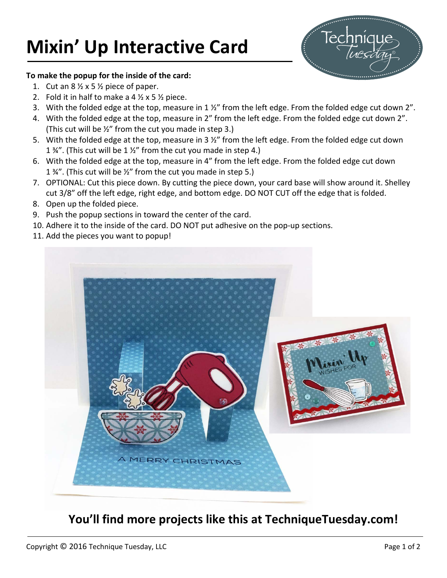## **Mixin' Up Interactive Card**



## **To make the popup for the inside of the card:**

- 1. Cut an  $8\frac{1}{2} \times 5\frac{1}{2}$  piece of paper.
- 2. Fold it in half to make a 4  $\frac{1}{2}$  x 5  $\frac{1}{2}$  piece.
- 3. With the folded edge at the top, measure in  $1\frac{1}{2}$  from the left edge. From the folded edge cut down 2".
- 4. With the folded edge at the top, measure in 2" from the left edge. From the folded edge cut down 2". (This cut will be ½" from the cut you made in step 3.)
- 5. With the folded edge at the top, measure in 3  $\frac{1}{2}$ " from the left edge. From the folded edge cut down 1  $\frac{3}{4}$ ". (This cut will be 1  $\frac{1}{2}$ " from the cut you made in step 4.)
- 6. With the folded edge at the top, measure in 4" from the left edge. From the folded edge cut down 1  $\frac{3}{4}$ ". (This cut will be  $\frac{1}{2}$ " from the cut you made in step 5.)
- 7. OPTIONAL: Cut this piece down. By cutting the piece down, your card base will show around it. Shelley cut 3/8" off the left edge, right edge, and bottom edge. DO NOT CUT off the edge that is folded.
- 8. Open up the folded piece.
- 9. Push the popup sections in toward the center of the card.
- 10. Adhere it to the inside of the card. DO NOT put adhesive on the pop-up sections.
- 11. Add the pieces you want to popup!



## **You'll find more projects like this at TechniqueTuesday.com!**